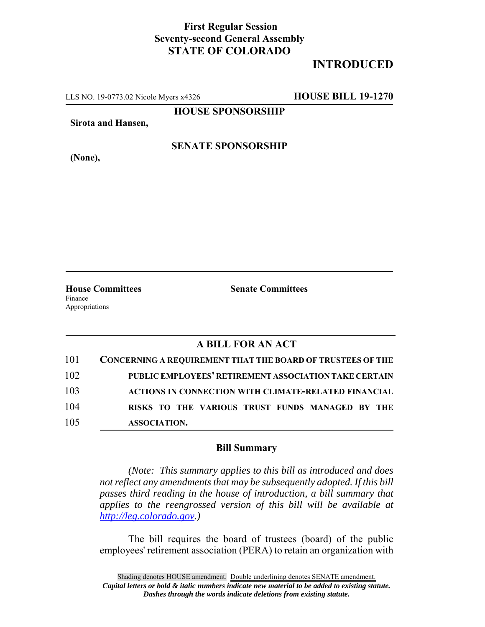# **First Regular Session Seventy-second General Assembly STATE OF COLORADO**

# **INTRODUCED**

LLS NO. 19-0773.02 Nicole Myers x4326 **HOUSE BILL 19-1270**

**HOUSE SPONSORSHIP**

**Sirota and Hansen,**

**(None),**

### **SENATE SPONSORSHIP**

Finance Appropriations

**House Committees Senate Committees**

### **A BILL FOR AN ACT**

| 101 | <b>CONCERNING A REQUIREMENT THAT THE BOARD OF TRUSTEES OF THE</b> |
|-----|-------------------------------------------------------------------|
| 102 | PUBLIC EMPLOYEES' RETIREMENT ASSOCIATION TAKE CERTAIN             |
| 103 | <b>ACTIONS IN CONNECTION WITH CLIMATE-RELATED FINANCIAL</b>       |
| 104 | RISKS TO THE VARIOUS TRUST FUNDS MANAGED BY THE                   |
| 105 | ASSOCIATION.                                                      |

#### **Bill Summary**

*(Note: This summary applies to this bill as introduced and does not reflect any amendments that may be subsequently adopted. If this bill passes third reading in the house of introduction, a bill summary that applies to the reengrossed version of this bill will be available at http://leg.colorado.gov.)*

The bill requires the board of trustees (board) of the public employees' retirement association (PERA) to retain an organization with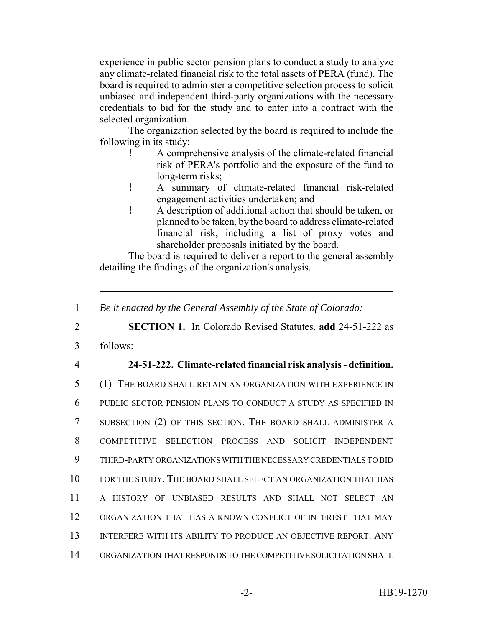experience in public sector pension plans to conduct a study to analyze any climate-related financial risk to the total assets of PERA (fund). The board is required to administer a competitive selection process to solicit unbiased and independent third-party organizations with the necessary credentials to bid for the study and to enter into a contract with the selected organization.

The organization selected by the board is required to include the following in its study:

- ! A comprehensive analysis of the climate-related financial risk of PERA's portfolio and the exposure of the fund to long-term risks;
- ! A summary of climate-related financial risk-related engagement activities undertaken; and
- ! A description of additional action that should be taken, or planned to be taken, by the board to address climate-related financial risk, including a list of proxy votes and shareholder proposals initiated by the board.

The board is required to deliver a report to the general assembly detailing the findings of the organization's analysis.

2 **SECTION 1.** In Colorado Revised Statutes, **add** 24-51-222 as

- 3 follows:
- 

## 4 **24-51-222. Climate-related financial risk analysis - definition.**

 (1) THE BOARD SHALL RETAIN AN ORGANIZATION WITH EXPERIENCE IN PUBLIC SECTOR PENSION PLANS TO CONDUCT A STUDY AS SPECIFIED IN SUBSECTION (2) OF THIS SECTION. THE BOARD SHALL ADMINISTER A COMPETITIVE SELECTION PROCESS AND SOLICIT INDEPENDENT THIRD-PARTY ORGANIZATIONS WITH THE NECESSARY CREDENTIALS TO BID FOR THE STUDY. THE BOARD SHALL SELECT AN ORGANIZATION THAT HAS A HISTORY OF UNBIASED RESULTS AND SHALL NOT SELECT AN ORGANIZATION THAT HAS A KNOWN CONFLICT OF INTEREST THAT MAY 13 INTERFERE WITH ITS ABILITY TO PRODUCE AN OBJECTIVE REPORT. ANY ORGANIZATION THAT RESPONDS TO THE COMPETITIVE SOLICITATION SHALL

<sup>1</sup> *Be it enacted by the General Assembly of the State of Colorado:*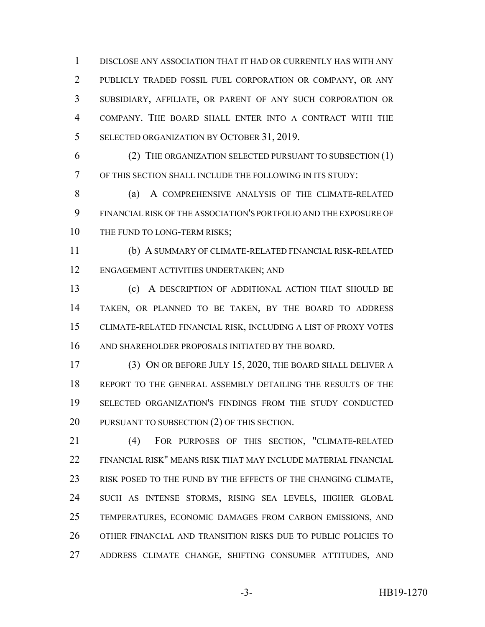DISCLOSE ANY ASSOCIATION THAT IT HAD OR CURRENTLY HAS WITH ANY PUBLICLY TRADED FOSSIL FUEL CORPORATION OR COMPANY, OR ANY SUBSIDIARY, AFFILIATE, OR PARENT OF ANY SUCH CORPORATION OR COMPANY. THE BOARD SHALL ENTER INTO A CONTRACT WITH THE 5 SELECTED ORGANIZATION BY OCTOBER 31, 2019.

 (2) THE ORGANIZATION SELECTED PURSUANT TO SUBSECTION (1) OF THIS SECTION SHALL INCLUDE THE FOLLOWING IN ITS STUDY:

8 (a) A COMPREHENSIVE ANALYSIS OF THE CLIMATE-RELATED FINANCIAL RISK OF THE ASSOCIATION'S PORTFOLIO AND THE EXPOSURE OF 10 THE FUND TO LONG-TERM RISKS;

 (b) A SUMMARY OF CLIMATE-RELATED FINANCIAL RISK-RELATED ENGAGEMENT ACTIVITIES UNDERTAKEN; AND

 (c) A DESCRIPTION OF ADDITIONAL ACTION THAT SHOULD BE TAKEN, OR PLANNED TO BE TAKEN, BY THE BOARD TO ADDRESS CLIMATE-RELATED FINANCIAL RISK, INCLUDING A LIST OF PROXY VOTES AND SHAREHOLDER PROPOSALS INITIATED BY THE BOARD.

 (3) ON OR BEFORE JULY 15, 2020, THE BOARD SHALL DELIVER A REPORT TO THE GENERAL ASSEMBLY DETAILING THE RESULTS OF THE SELECTED ORGANIZATION'S FINDINGS FROM THE STUDY CONDUCTED PURSUANT TO SUBSECTION (2) OF THIS SECTION.

 (4) FOR PURPOSES OF THIS SECTION, "CLIMATE-RELATED FINANCIAL RISK" MEANS RISK THAT MAY INCLUDE MATERIAL FINANCIAL RISK POSED TO THE FUND BY THE EFFECTS OF THE CHANGING CLIMATE, SUCH AS INTENSE STORMS, RISING SEA LEVELS, HIGHER GLOBAL TEMPERATURES, ECONOMIC DAMAGES FROM CARBON EMISSIONS, AND OTHER FINANCIAL AND TRANSITION RISKS DUE TO PUBLIC POLICIES TO ADDRESS CLIMATE CHANGE, SHIFTING CONSUMER ATTITUDES, AND